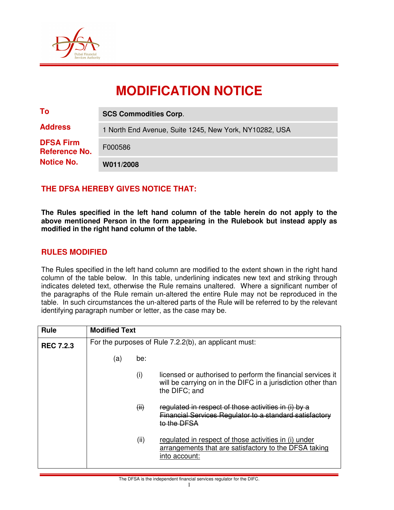

# **MODIFICATION NOTICE**

| To                                                            | <b>SCS Commodities Corp.</b>                           |
|---------------------------------------------------------------|--------------------------------------------------------|
| <b>Address</b>                                                | 1 North End Avenue, Suite 1245, New York, NY10282, USA |
| <b>DFSA Firm</b><br><b>Reference No.</b><br><b>Notice No.</b> | F000586                                                |
|                                                               | W011/2008                                              |

## **THE DFSA HEREBY GIVES NOTICE THAT:**

**The Rules specified in the left hand column of the table herein do not apply to the above mentioned Person in the form appearing in the Rulebook but instead apply as modified in the right hand column of the table.** 

## **RULES MODIFIED**

The Rules specified in the left hand column are modified to the extent shown in the right hand column of the table below. In this table, underlining indicates new text and striking through indicates deleted text, otherwise the Rule remains unaltered. Where a significant number of the paragraphs of the Rule remain un-altered the entire Rule may not be reproduced in the table. In such circumstances the un-altered parts of the Rule will be referred to by the relevant identifying paragraph number or letter, as the case may be.

| <b>Rule</b>      | <b>Modified Text</b>                                  |      |                                                                                                                                              |  |  |
|------------------|-------------------------------------------------------|------|----------------------------------------------------------------------------------------------------------------------------------------------|--|--|
| <b>REC 7.2.3</b> | For the purposes of Rule 7.2.2(b), an applicant must: |      |                                                                                                                                              |  |  |
|                  | (a)                                                   | be:  |                                                                                                                                              |  |  |
|                  |                                                       | (i)  | licensed or authorised to perform the financial services it<br>will be carrying on in the DIFC in a jurisdiction other than<br>the DIFC; and |  |  |
|                  |                                                       | (ii) | regulated in respect of those activities in (i) by a<br>Financial Services Regulator to a standard satisfactory<br>to the DFSA               |  |  |
|                  |                                                       | (ii) | regulated in respect of those activities in (i) under<br>arrangements that are satisfactory to the DFSA taking<br>into account:              |  |  |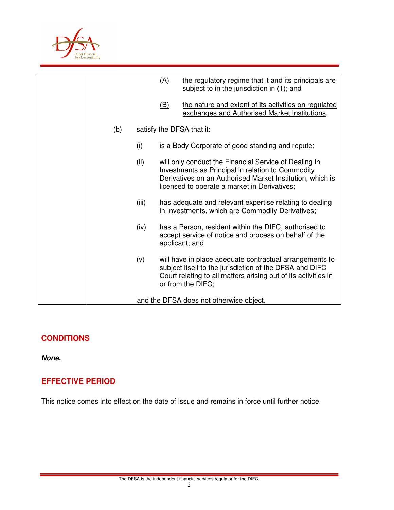

|     |                                         | <u>(A)</u>                                                                                                                                                                                                                                                                                                                             | the regulatory regime that it and its principals are<br>subject to in the jurisdiction in (1); and                                                                                                        |  |
|-----|-----------------------------------------|----------------------------------------------------------------------------------------------------------------------------------------------------------------------------------------------------------------------------------------------------------------------------------------------------------------------------------------|-----------------------------------------------------------------------------------------------------------------------------------------------------------------------------------------------------------|--|
|     |                                         | (B)                                                                                                                                                                                                                                                                                                                                    | the nature and extent of its activities on regulated<br>exchanges and Authorised Market Institutions.                                                                                                     |  |
| (b) |                                         | satisfy the DFSA that it:                                                                                                                                                                                                                                                                                                              |                                                                                                                                                                                                           |  |
|     | (i)                                     |                                                                                                                                                                                                                                                                                                                                        | is a Body Corporate of good standing and repute;                                                                                                                                                          |  |
|     | (ii)                                    | will only conduct the Financial Service of Dealing in<br>Investments as Principal in relation to Commodity<br>Derivatives on an Authorised Market Institution, which is<br>licensed to operate a market in Derivatives;<br>has adequate and relevant expertise relating to dealing<br>in Investments, which are Commodity Derivatives; |                                                                                                                                                                                                           |  |
|     | (iii)                                   |                                                                                                                                                                                                                                                                                                                                        |                                                                                                                                                                                                           |  |
|     | (iv)                                    |                                                                                                                                                                                                                                                                                                                                        | has a Person, resident within the DIFC, authorised to<br>accept service of notice and process on behalf of the<br>applicant; and                                                                          |  |
|     | (v)                                     |                                                                                                                                                                                                                                                                                                                                        | will have in place adequate contractual arrangements to<br>subject itself to the jurisdiction of the DFSA and DIFC<br>Court relating to all matters arising out of its activities in<br>or from the DIFC; |  |
|     | and the DFSA does not otherwise object. |                                                                                                                                                                                                                                                                                                                                        |                                                                                                                                                                                                           |  |

## **CONDITIONS**

**None.** 

## **EFFECTIVE PERIOD**

This notice comes into effect on the date of issue and remains in force until further notice.